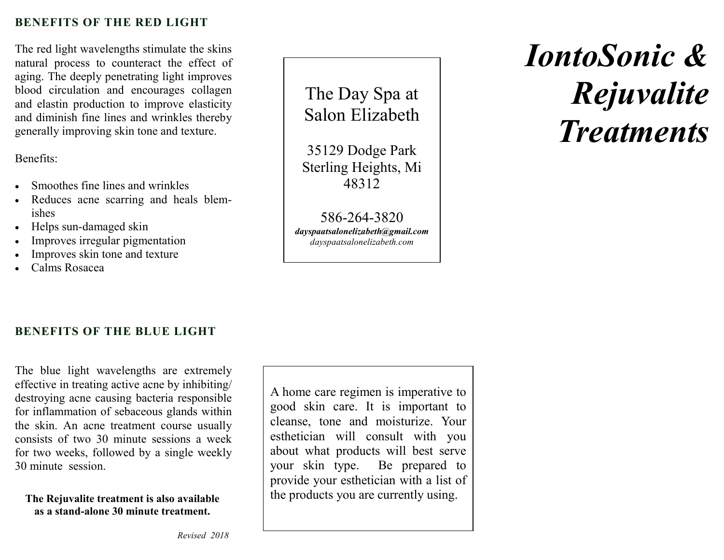## **BENEFITS OF THE RED LIGHT**

The red light wavelengths stimulate the skins natural process to counteract the effect of aging. The deeply penetrating light improves blood circulation and encourages collagen and elastin production to improve elasticity and diminish fine lines and wrinkles thereby generally improving skin tone and texture.

Benefits:

- Smoothes fine lines and wrinkles
- Reduces acne scarring and heals blemishes
- Helps sun-damaged skin
- Improves irregular pigmentation
- Improves skin tone and texture
- Calms Rosacea

The Day Spa at Salon Elizabeth

35129 Dodge Park Sterling Heights, Mi 48312

586-264-3820 *dayspaatsalonelizabeth@gmail.com dayspaatsalonelizabeth.com* 

# *IontoSonic &Rejuvalite Treatments*

## **BENEFITS OF THE BLUE LIGHT**

The blue light wavelengths are extremely effective in treating active acne by inhibiting/ destroying acne causing bacteria responsible for inflammation of sebaceous glands within the skin. An acne treatment course usually consists of two 30 minute sessions a week for two weeks, followed by a single weekly 30 minute session.

**The Rejuvalite treatment is also available as a stand-alone 30 minute treatment.** 

A home care regimen is imperative to good skin care. It is important to cleanse, tone and moisturize. Your esthetician will consult with you about what products will best serve your skin type. Be prepared to provide your esthetician with a list of the products you are currently using.